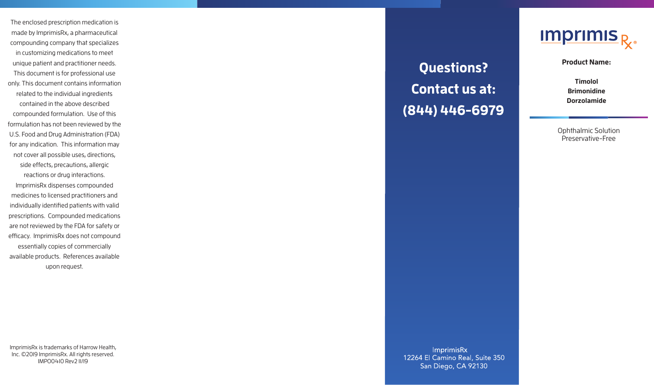The enclosed prescription medication is made by ImprimisRx, a pharmaceutical compounding company that specializes in customizing medications to meet unique patient and practitioner needs. This document is for professional use only. This document contains information related to the individual ingredients contained in the above described compounded formulation. Use of this formulation has not been reviewed by the U.S. Food and Drug Administration (FDA) for any indication. This information may not cover all possible uses, directions, side effects, precautions, allergic reactions or drug interactions. ImprimisRx dispenses compounded medicines to licensed practitioners and individually identified patients with valid prescriptions. Compounded medications are not reviewed by the FDA for safety or efficacy. ImprimisRx does not compound

essentially copies of commercially available products. References available upon request.

ImprimisRx is trademarks of Harrow Health, Inc. ©2019 ImprimisRx. All rights reserved. IMPO0410 Rev2 11/19

**Questions? Contact us at:** (844) 446-6979



**Product Name:** 

**Timolol Brimonidine Dorzolamide**

Ophthalmic Solution Preservative-Free

Imprimis Rx 12264 El Camino Real, Suite 350 San Diego, CA 92130